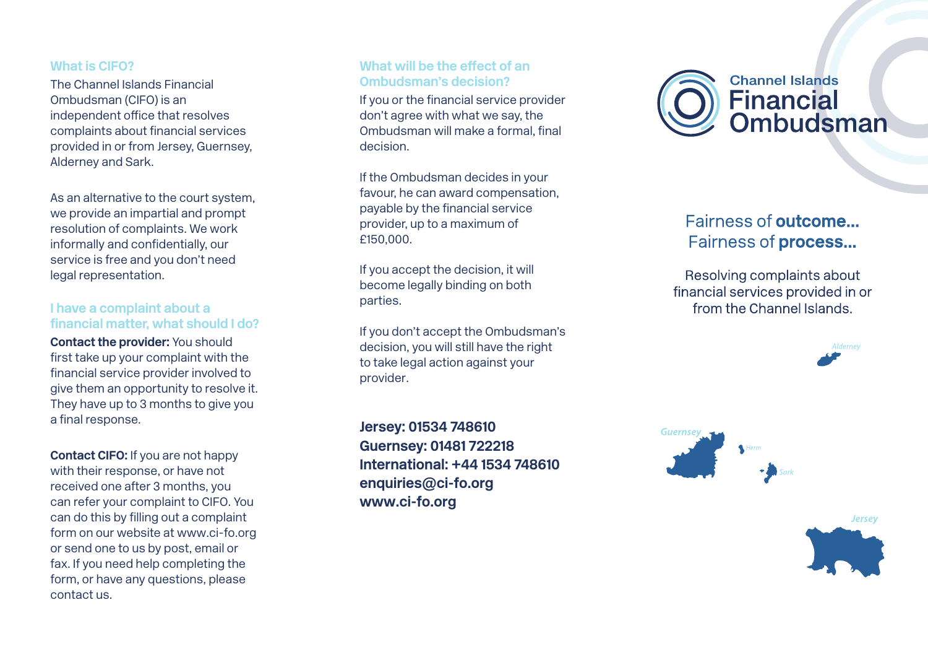#### **What is CIFO?**

The Channel Islands Financial Ombudsman (CIFO) is an independent office that resolves complaints about financial services provided in or from Jersey, Guernsey, Alderney and Sark.

As an alternative to the court system, we provide an impartial and prompt resolution of complaints. We work informally and confidentially, our service is free and you don't need legal representation.

## **I have a complaint about a financial matter, what should I do?**

**Contact the provider:** You should first take up your complaint with the financial service provider involved to give them an opportunity to resolve it. They have up to 3 months to give you a final response.

**Contact CIFO:** If you are not happy with their response, or have not received one after 3 months, you can refer your complaint to CIFO. You can do this by filling out a complaint form on our website at www.ci-fo.org or send one to us by post, email or fax. If you need help completing the form, or have any questions, please contact us.

#### **What will be the effect of an Ombudsman's decision?**

If you or the financial service provider don't agree with what we say, the Ombudsman will make a formal, final decision.

If the Ombudsman decides in your favour, he can award compensation, payable by the financial service provider, up to a maximum of £150,000.

If you accept the decision, it will become legally binding on both parties.

If you don't accept the Ombudsman's decision, you will still have the right to take legal action against your provider.

**Jersey: 01534 748610 Guernsey: 01481 722218 International: +44 1534 748610 enquiries@ci-fo.org www.ci-fo.org**



# Fairness of outcome... Fairness of process...

Resolving complaints about financial services provided in or from the Channel Islands.





**Jersey**